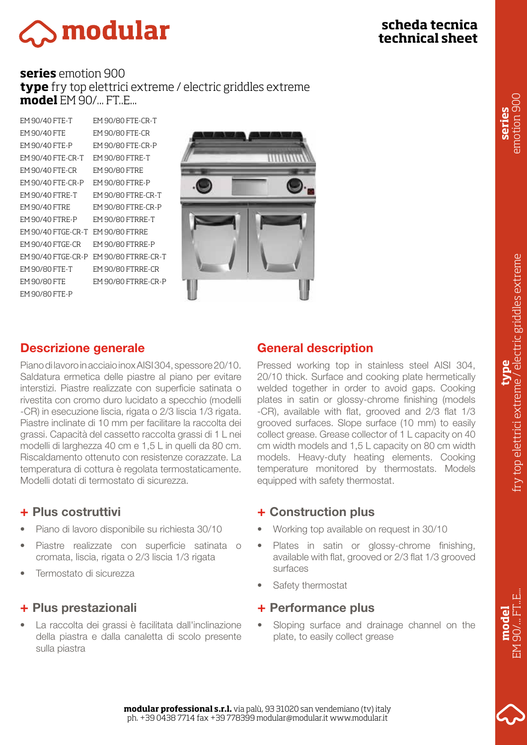# **scheda tecnica technical sheet**

# **Smodular**

#### **series** emotion 900 **type** fry top elettrici extreme / electric griddles extreme **model** EM 90/... FT..E...

EM 90/40 FTE-T EM 90/40 FTE EM 90/40 FTE-P EM 90/40 FTE-CR-T EM 90/80 FTRE-T EM 90/40 FTE-CR EM 90/40 FTE-CR-P EM 90/80 FTRE-P EM 90/40 FTRE-T EM 90/40 FTRE EM 90/40 FTRE-P EM 90/40 FTGE-CR-T EM 90/80 FTRRE EM 90/40 FTGE-CR EM 90/80 FTE-T EM 90/80 FTE EM 90/80 FTE-P EM 90/80 FTE-CR-T

EM 90/40 FTGE-CR-P EM 90/80 FTRRE-CR-T EM 90/80 FTE-CR EM 90/80 FTE-CR-P EM 90/80 FTRE EM 90/80 FTRE-CR-T EM 90/80 FTRE-CR-P EM 90/80 FTRRE-T EM 90/80 FTRRE-P EM 90/80 FTRRE-CR EM 90/80 FTRRE-CR-P



# Descrizione generale

Piano di lavoro in acciaio inox AISI 304, spessore 20/10. Saldatura ermetica delle piastre al piano per evitare interstizi. Piastre realizzate con superficie satinata o rivestita con cromo duro lucidato a specchio (modelli -CR) in esecuzione liscia, rigata o 2/3 liscia 1/3 rigata. Piastre inclinate di 10 mm per facilitare la raccolta dei grassi. Capacità del cassetto raccolta grassi di 1 L nei modelli di larghezza 40 cm e 1,5 L in quelli da 80 cm. Riscaldamento ottenuto con resistenze corazzate. La temperatura di cottura è regolata termostaticamente. Modelli dotati di termostato di sicurezza.

### + Plus costruttivi

- Piano di lavoro disponibile su richiesta 30/10
- Piastre realizzate con superficie satinata o cromata, liscia, rigata o 2/3 liscia 1/3 rigata
- Termostato di sicurezza

### + Plus prestazionali

• La raccolta dei grassi è facilitata dall'inclinazione della piastra e dalla canaletta di scolo presente sulla piastra

## General description

Pressed working top in stainless steel AISI 304, 20/10 thick. Surface and cooking plate hermetically welded together in order to avoid gaps. Cooking plates in satin or glossy-chrome finishing (models -CR), available with flat, grooved and 2/3 flat 1/3 grooved surfaces. Slope surface (10 mm) to easily collect grease. Grease collector of 1 L capacity on 40 cm width models and 1,5 L capacity on 80 cm width models. Heavy-duty heating elements. Cooking temperature monitored by thermostats. Models equipped with safety thermostat.

### + Construction plus

- Working top available on request in 30/10
- Plates in satin or glossy-chrome finishing, available with flat, grooved or 2/3 flat 1/3 grooved surfaces
- Safety thermostat

#### + Performance plus

• Sloping surface and drainage channel on the plate, to easily collect grease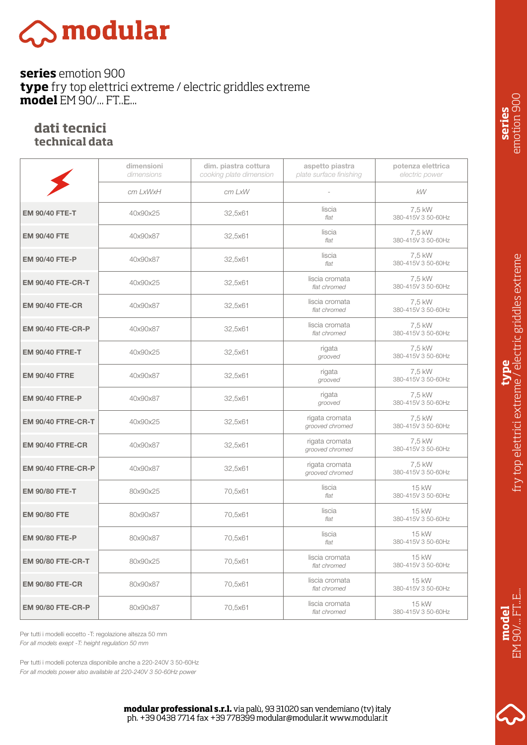# $\gtrsim$  modular

**series** emotion 900 **type** fry top elettrici extreme / electric griddles extreme **model** EM 90/... FT..E...

#### **dati tecnici technical data**

|                           | dimensioni<br>dimensions | dim. piastra cottura<br>cooking plate dimension | aspetto piastra<br>plate surface finishing | potenza elettrica<br>electric power |
|---------------------------|--------------------------|-------------------------------------------------|--------------------------------------------|-------------------------------------|
|                           | cm LxWxH                 | cm LxW                                          |                                            | <b>kW</b>                           |
| <b>EM 90/40 FTE-T</b>     | 40x90x25                 | 32,5x61                                         | liscia<br>flat                             | 7,5 kW<br>380-415V 3 50-60Hz        |
| <b>EM 90/40 FTE</b>       | 40x90x87                 | 32,5x61                                         | liscia<br>flat                             | 7,5 kW<br>380-415V 3 50-60Hz        |
| <b>EM 90/40 FTE-P</b>     | 40x90x87                 | 32,5x61                                         | liscia<br>flat                             | 7,5 kW<br>380-415V 3 50-60Hz        |
| <b>EM 90/40 FTE-CR-T</b>  | 40x90x25                 | 32,5x61                                         | liscia cromata<br>flat chromed             | 7,5 kW<br>380-415V 3 50-60Hz        |
| <b>EM 90/40 FTE-CR</b>    | 40x90x87                 | 32,5x61                                         | liscia cromata<br>flat chromed             | 7,5 kW<br>380-415V 3 50-60Hz        |
| <b>EM 90/40 FTE-CR-P</b>  | 40x90x87                 | 32,5x61                                         | liscia cromata<br>flat chromed             | 7,5 kW<br>380-415V 3 50-60Hz        |
| <b>EM 90/40 FTRE-T</b>    | 40x90x25                 | 32,5x61                                         | rigata<br>grooved                          | 7,5 kW<br>380-415V 3 50-60Hz        |
| <b>EM 90/40 FTRE</b>      | 40x90x87                 | 32,5x61                                         | rigata<br>grooved                          | 7,5 kW<br>380-415V 3 50-60Hz        |
| <b>EM 90/40 FTRE-P</b>    | 40x90x87                 | 32,5x61                                         | rigata<br>grooved                          | 7,5 kW<br>380-415V 3 50-60Hz        |
| <b>EM 90/40 FTRE-CR-T</b> | 40x90x25                 | 32,5x61                                         | rigata cromata<br>grooved chromed          | 7,5 kW<br>380-415V 3 50-60Hz        |
| <b>EM 90/40 FTRE-CR</b>   | 40x90x87                 | 32,5x61                                         | rigata cromata<br>grooved chromed          | 7,5 kW<br>380-415V 3 50-60Hz        |
| <b>EM 90/40 FTRE-CR-P</b> | 40x90x87                 | 32,5x61                                         | rigata cromata<br>grooved chromed          | 7,5 kW<br>380-415V 3 50-60Hz        |
| <b>EM 90/80 FTE-T</b>     | 80x90x25                 | 70,5x61                                         | liscia<br>flat                             | 15 kW<br>380-415V 3 50-60Hz         |
| <b>EM 90/80 FTE</b>       | 80x90x87                 | 70,5x61                                         | liscia<br>flat                             | 15 kW<br>380-415V 3 50-60Hz         |
| <b>EM 90/80 FTE-P</b>     | 80x90x87                 | 70,5x61                                         | liscia<br>flat                             | 15 kW<br>380-415V 3 50-60Hz         |
| <b>EM 90/80 FTE-CR-T</b>  | 80x90x25                 | 70,5x61                                         | liscia cromata<br>flat chromed             | 15 kW<br>380-415V 3 50-60Hz         |
| <b>EM 90/80 FTE-CR</b>    | 80x90x87                 | 70,5x61                                         | liscia cromata<br>flat chromed             | 15 kW<br>380-415V 3 50-60Hz         |
| <b>EM 90/80 FTE-CR-P</b>  | 80x90x87                 | 70,5x61                                         | liscia cromata<br>flat chromed             | 15 kW<br>380-415V 3 50-60Hz         |

Per tutti i modelli eccetto -T: regolazione altezza 50 mm *For all models exept -T: height regulation 50 mm*

*For all models power also available at 220-240V 3 50-60Hz power* Per tutti i modelli potenza disponibile anche a 220-240V 3 50-60Hz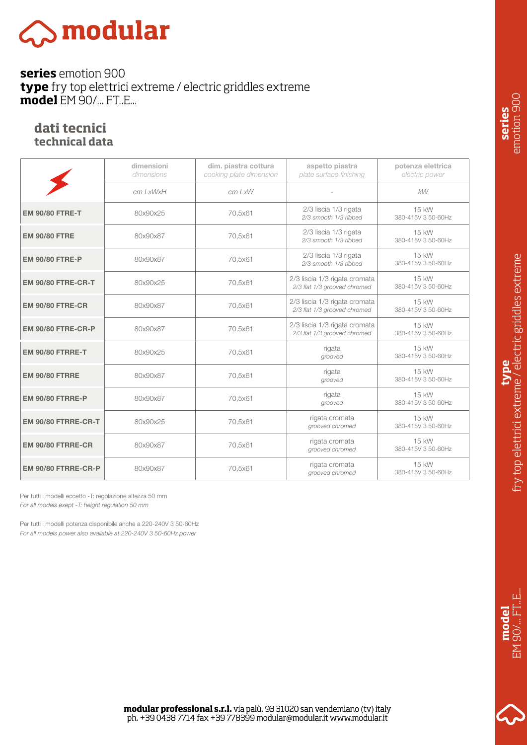# 

**series** emotion 900 **type** fry top elettrici extreme / electric griddles extreme **model** EM 90/... FT..E...

#### **dati tecnici technical data**

|                           | dimensioni<br>dimensions | dim. piastra cottura<br>cooking plate dimension | aspetto piastra<br>plate surface finishing                    | potenza elettrica<br>electric power |
|---------------------------|--------------------------|-------------------------------------------------|---------------------------------------------------------------|-------------------------------------|
|                           | cm LxWxH                 | $cm$ LxW                                        |                                                               | kW                                  |
| <b>EM 90/80 FTRE-T</b>    | 80x90x25                 | 70.5x61                                         | 2/3 liscia 1/3 rigata<br>2/3 smooth 1/3 ribbed                | 15 kW<br>380-415V 3 50-60Hz         |
| <b>EM 90/80 FTRE</b>      | 80x90x87                 | 70,5x61                                         | 2/3 liscia 1/3 rigata<br>2/3 smooth 1/3 ribbed                | 15 kW<br>380-415V 3 50-60Hz         |
| <b>EM 90/80 FTRE-P</b>    | 80x90x87                 | 70,5x61                                         | 2/3 liscia 1/3 rigata<br>2/3 smooth 1/3 ribbed                | 15 kW<br>380-415V 3 50-60Hz         |
| <b>EM 90/80 FTRE-CR-T</b> | 80x90x25                 | 70,5x61                                         | 2/3 liscia 1/3 rigata cromata<br>2/3 flat 1/3 grooved chromed | 15 kW<br>380-415V 3 50-60Hz         |
| <b>EM 90/80 FTRE-CR</b>   | 80x90x87                 | 70,5x61                                         | 2/3 liscia 1/3 rigata cromata<br>2/3 flat 1/3 grooved chromed | 15 kW<br>380-415V 3 50-60Hz         |
| <b>EM 90/80 FTRE-CR-P</b> | 80x90x87                 | 70,5x61                                         | 2/3 liscia 1/3 rigata cromata<br>2/3 flat 1/3 grooved chromed | 15 kW<br>380-415V 3 50-60Hz         |
| <b>EM 90/80 FTRRE-T</b>   | 80x90x25                 | 70.5x61                                         | rigata<br>grooved                                             | 15 kW<br>380-415V 3 50-60Hz         |
| <b>EM 90/80 FTRRE</b>     | 80x90x87                 | 70,5x61                                         | rigata<br>grooved                                             | 15 kW<br>380-415V 3 50-60Hz         |
| <b>EM 90/80 FTRRE-P</b>   | 80x90x87                 | 70,5x61                                         | rigata<br>grooved                                             | 15 kW<br>380-415V 3 50-60Hz         |
| EM 90/80 FTRRE-CR-T       | 80x90x25                 | 70,5x61                                         | rigata cromata<br>grooved chromed                             | 15 kW<br>380-415V 3 50-60Hz         |
| EM 90/80 FTRRE-CR         | 80x90x87                 | 70,5x61                                         | rigata cromata<br>grooved chromed                             | 15 kW<br>380-415V 3 50-60Hz         |
| EM 90/80 FTRRE-CR-P       | 80x90x87                 | 70,5x61                                         | rigata cromata<br>grooved chromed                             | 15 kW<br>380-415V 3 50-60Hz         |

Per tutti i modelli eccetto -T: regolazione altezza 50 mm *For all models exept -T: height regulation 50 mm*

*For all models power also available at 220-240V 3 50-60Hz power* Per tutti i modelli potenza disponibile anche a 220-240V 3 50-60Hz